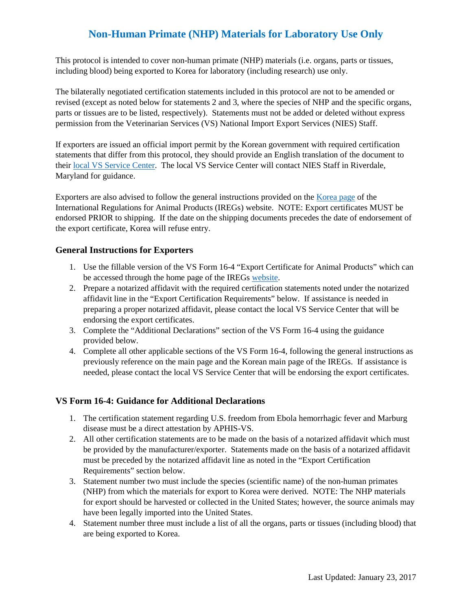# **Non-Human Primate (NHP) Materials for Laboratory Use Only**

This protocol is intended to cover non-human primate (NHP) materials (i.e. organs, parts or tissues, including blood) being exported to Korea for laboratory (including research) use only.

The bilaterally negotiated certification statements included in this protocol are not to be amended or revised (except as noted below for statements 2 and 3, where the species of NHP and the specific organs, parts or tissues are to be listed, respectively). Statements must not be added or deleted without express permission from the Veterinarian Services (VS) National Import Export Services (NIES) Staff.

If exporters are issued an official import permit by the Korean government with required certification statements that differ from this protocol, they should provide an English translation of the document to their [local VS Service Center.](https://www.aphis.usda.gov/animal_health/downloads/nies_contacts/sc.pdf) The local VS Service Center will contact NIES Staff in Riverdale, Maryland for guidance.

Exporters are also advised to follow the general instructions provided on the [Korea page](https://www.aphis.usda.gov/aphis/ourfocus/animalhealth/export/iregs-for-animal-product-exports/sa_international_regulations/sa_by_country/sa_k/ct_product_korea) of the International Regulations for Animal Products (IREGs) website. NOTE: Export certificates MUST be endorsed PRIOR to shipping. If the date on the shipping documents precedes the date of endorsement of the export certificate, Korea will refuse entry.

### **General Instructions for Exporters**

- 1. Use the fillable version of the VS Form 16-4 "Export Certificate for Animal Products" which can be accessed through the home page of the IREGs [website.](https://www.aphis.usda.gov/aphis/ourfocus/animalhealth/export/iregs-for-animal-product-exports/ct_iregs_animal_product_exports_home)
- 2. Prepare a notarized affidavit with the required certification statements noted under the notarized affidavit line in the "Export Certification Requirements" below. If assistance is needed in preparing a proper notarized affidavit, please contact the local VS Service Center that will be endorsing the export certificates.
- 3. Complete the "Additional Declarations" section of the VS Form 16-4 using the guidance provided below.
- 4. Complete all other applicable sections of the VS Form 16-4, following the general instructions as previously reference on the main page and the Korean main page of the IREGs. If assistance is needed, please contact the local VS Service Center that will be endorsing the export certificates.

#### **VS Form 16-4: Guidance for Additional Declarations**

- 1. The certification statement regarding U.S. freedom from Ebola hemorrhagic fever and Marburg disease must be a direct attestation by APHIS-VS.
- 2. All other certification statements are to be made on the basis of a notarized affidavit which must be provided by the manufacturer/exporter. Statements made on the basis of a notarized affidavit must be preceded by the notarized affidavit line as noted in the "Export Certification Requirements" section below.
- 3. Statement number two must include the species (scientific name) of the non-human primates (NHP) from which the materials for export to Korea were derived. NOTE: The NHP materials for export should be harvested or collected in the United States; however, the source animals may have been legally imported into the United States.
- 4. Statement number three must include a list of all the organs, parts or tissues (including blood) that are being exported to Korea.